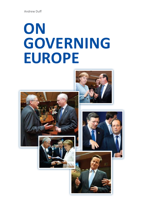Andrew Duff

# **On GOVERNING Europe**

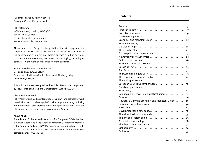#### Published in 2012 by Policy Network Copyright © 2012 Policy Network

Policy Network 11 Tufton Street, London, SW1P 3QB Tel: +44 20 7 340 2200 Email: info@policy-network.net Website: www.policy-network.net

All rights reserved. Except for the quotation of short passages for the purpose of criticism and review, no part of this publication may be reproduced, stored in a retrieval system or transmitted, in any form or by any means, electronic, mechanical, photocopying, recording or otherwise, without the prior permission of the publisher.

Production editor: Michael McTernan Design and Lay-out: Alan Hunt Printed by: John Drewe Graphic Services, 26 Aldeburgh Way, Chelmsford, CM1 7PD

This publication has been produced by Policy Network and supported by the Alliance of Liberals and Democrats for Europe (ALDE)

#### **About Policy Network**

Policy Network is a leading international thinktank and political network based in London. It is a leading platform for long-term strategic thinking and international best practice, impacting upon policy debates in the UK, Europe and the wider world. *www.policy-network.net*

#### **About ALDE**

The Alliance of Liberals and Democrats for Europe (ALDE) is the third largest political group in the European Parliament, comprising Members of the European Parliament (MEPs) from European political parties right across the continent. It is a strong centre force with a pro-European political agenda. *www.alde.eu*

# **Contents**

| Economic and monetary union 15                                                                    |  |
|---------------------------------------------------------------------------------------------------|--|
|                                                                                                   |  |
|                                                                                                   |  |
|                                                                                                   |  |
| First steps in crisis management 23                                                               |  |
| New supervisory authorities  25                                                                   |  |
|                                                                                                   |  |
| European semester & Six Pack  28                                                                  |  |
|                                                                                                   |  |
|                                                                                                   |  |
|                                                                                                   |  |
|                                                                                                   |  |
|                                                                                                   |  |
| European Council December 2011  38                                                                |  |
|                                                                                                   |  |
|                                                                                                   |  |
| Banking union, fiscal union, political union 45                                                   |  |
|                                                                                                   |  |
| 'Towards a Genuine Economic and Monetary Union' 48                                                |  |
|                                                                                                   |  |
|                                                                                                   |  |
|                                                                                                   |  |
| The wider institutional agenda $\ldots \ldots \ldots \ldots \ldots \ldots \ldots \ldots$          |  |
| The British problem again $\ldots \ldots \ldots \ldots \ldots \ldots \ldots \ldots \ldots \ldots$ |  |
|                                                                                                   |  |
|                                                                                                   |  |
|                                                                                                   |  |
|                                                                                                   |  |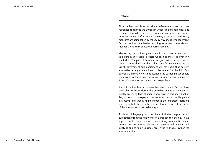#### **Preface**

Since the Treaty of Lisbon was signed in December 2007, much has happened to change the European Union. The financial crisis and economic turmoil has exposed a weakness of governance which must be overcome if economic recovery is to be assured. Many measures are being taken by the EU by way of crisis management. But the creation of a federal economic government of a fiscal union requires a long-term constitutional settlement.

Meanwhile, the coalition government in the UK has decided not to take part in this federal process which it cannot stop even if it wanted to. The pace of European integration is now rapid and its destination much clearer than it has been for many years. As the British government and parliament will not share that destiny, alternative arrangements have to be made for the UK. Pro-Europeans in Britain must not abandon the battlefield. We should work to ensure the ultimate success of Europe's federal union even if the UK takes another stage or two to get there.

It struck me that few outside a rather small circle in Brussels have been able to follow closely the unfolding events that shape the quickly emerging federal union. I have written this short book in August 2012 to try to piece together what is going on. I hope it is instructive, and that it might influence the important decisions which have to be taken in the next weeks and months if the future of the European Union is to be bright.

A short bibliography at the back includes helpful recent publications from the rich world of European think-tanks. I have kept footnotes to a minimum, only citing treaty articles and Commission documents relevant to the story I tell. Readers will surely be able to follow up references in the text to EU laws on the europa website.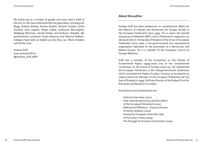My thanks go to a number of people who have read a draft of the text or who have otherwise fed me good ideas, including Iain Begg, Graham Bishop, Sharon Bowles, Richard Corbett, Sylvie Goulard, Sony Kapoor, Roger Liddle, Guillaume McLaughlin, Wolfgang Münchau, Harald Stieber and Anthony Teasdale. My parliamentary assistants Sietse Wijnsma and Maxime Rolland-Calligaro have been as helpful as only they can. Most mistakes will still be mine.

Andrew Duff www.andrewduff.eu @Andrew\_Duff\_MEP

# **About the author**

Andrew Duff has been spokesman on constitutional affairs for the Alliance of Liberals and Democrats for Europe (ALDE) in the European Parliament since 1999. He co-chairs the Spinelli Intergroup of federalist MEPs, and is Parliament's rapporteur on electoral reform. He has been President of the Union of European Federalists since 2008, a non-governmental and supranational organisation dedicated to the promotion of a democratic and federal Europe. He is a member of the European Council on Foreign Relations.

Duff was a member of the Convention on the Charter of Fundamental Rights (1999-2000) and of the constitutional Convention on the Future of Europe (2002-03). He represented the European Parliament in the intergovernmental conference which concluded the Treaty of Lisbon. Previous to his election as Liberal Democrat Member of the European Parliament for the East of England in 1999, Duff was Director of the Federal Trust for Education and Research in London.

Among his several publications are:

- Federal Union Now (2011)
- Post-national democracy and the reform of the European Parliament (2010)
- Making the Difference Essays in honour of Shirley Williams (2010)
- Saving the European Union the Logic of the Lisbon Treaty (2009)
- The Struggle for Europe's Constitution (2005)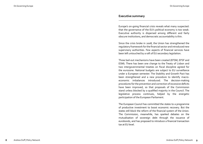#### **Executive summary**

Europe's on-going financial crisis reveals what many suspected: that the governance of the EU's political economy is too weak. Executive authority is dispersed among different and fairly obscure institutions, and democratic accountability is thin.

Since the crisis broke in 2008, the Union has strengthened the regulatory framework for the financial sector and introduced new supervisory authorities. Few aspects of financial services have been left untouched by a raft of EU secondary legislation.

Three bail-out mechanisms have been created (EFSM, EFSF and ESM). There has been one change to the Treaty of Lisbon and two intergovernmental treaties on fiscal discipline agreed for the eurozone. National budgets are subject to EU surveillance under a European semester. The Stability and Growth Pact has been strengthened and a new procedure to identify macroeconomic imbalances introduced. The decision-making procedures for the prevention and correction of excessive deficits have been improved, so that proposals of the Commission stand unless blocked by a qualified majority in the Council. The legislative process continues, helped by the energetic participation of the European Parliament.

The European Council has committed the states to a programme of productive investment to boost economic recovery. But the states still block the reform of the financial system of the Union. The Commission, meanwhile, has sparked debates on the mutualisation of sovereign debt through the issuance of eurobonds, and has proposed to introduce a financial transaction tax at EU level.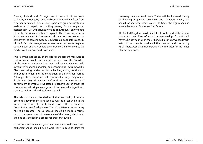Greece, Ireland and Portugal are in receipt of eurozone bail-outs, and Hungary, Latvia and Romania have benefitted from emergency financial aid. In 2012, Spain was granted substantial assistance to repair its banking sector, Cyprus requested assistance in July, while Hungary made a new request only months after the previous assistance expired. The European Central Bank has engaged in 'non-standard measures' to bolster the liquidity of the banking system. Doubts remain about the capacity of the EU's crisis management measures, extensive as they are, to save Spain and Italy should they prove unable to convince the markets of their own creditworthiness.

Aware of the inadequacy of the crisis management measures to restore market confidence and democratic trust, the President of the European Council has launched an initiative to build integrated financial, budgetary and economic policy frameworks. Plans are being worked up for a banking union, fiscal union and political union and the completion of the internal market. Although these proposals will command a large majority in Parliament, they will divide the Council. As the euro heads of government themselves suggested, extensive use of enhanced cooperation, allowing a core group of like-minded integrationist states to go forward, is therefore essential.

The crisis is shaping the design of the new polity. A federal economic government is needed to run the fiscal union in the interests of its member states and citizens. The ECB and the Commission need fresh powers. The job of EU treasury secretary has to be created. The Eurogroup should be made a formal part of the new system of governance of the Union, which must then be entrenched in a proper federal constitution.

A constitutional Convention, involving national as well as European parliamentarians, should begin work early in 2015 to draft the necessary treaty amendments. These will be focussed mainly on building a genuine economic and monetary union, but should include other items as well to boost the legitimacy and ensure the future of a more united Europe.

The United Kingdom has decided it will not be part of the federal union. So a new form of associate membership of the EU will have to be devised to suit the British, but also to prevent a British veto of the constitutional evolution needed and desired by its partners. Associate membership may also cater for the needs of other countries.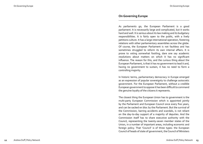### **On Governing Europe**

As parliaments go, the European Parliament is a good parliament. It is necessarily large and complicated, but it works hard and well. It is serious about its law making and its budgetary responsibilities. It is fairly open to the public, with a lively petitions culture. It has a large international operation, fostering relations with other parliamentary assemblies across the globe. Of course, the European Parliament is not faultless and has sometimes struggled to reform its own internal affairs. It is prone to voting somewhat footling, dare one say academic resolutions about matters on which it has no significant influence. The reason for this, and the curious thing about the European Parliament, is that it has no government to lead it and, having no government to sustain, it has no need to form a controlling majority.

In historic terms, parliamentary democracy in Europe emerged as an expression of popular sovereignty to challenge autocratic government. For the European Parliament, without a credible European government to oppose it has been difficult to command the genuine loyalty of the citizens it represents.

The closest thing the European Union has to government is the multi-party European Commission which is appointed jointly by the Parliament and European Council once every five years, and can be sacked en bloc by the Parliament. But the survival of the Commission, barring accidents and scandals, is not reliant on the day-to-day support of a majority of deputies. And the Commission itself has to share executive authority with the Council, representing the twenty-seven member states of the Union, in a number of important areas, including economic and foreign policy. That 'Council' is of three types: the European Council of heads of state of government, the Council of Ministers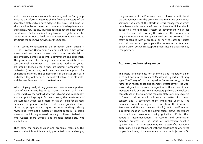which meets in various sectoral formations, and the Eurogroup, which is an informal meeting of the finance ministers of the seventeen states which have adopted the euro. The Council of Ministers doubles as the second chamber of the legislature, and there is now very little EU law that does not have to pass through both Houses. Parliament is not only busy as co-legislator but also has its work cut out to hold the Commission to account and to scrutinise the executive activities of the Council.

If this seems complicated to the European Union citizen, it is. The European Union citizen as national citizen has grown accustomed to orderly states which are presidential or parliamentary democracies with a government and opposition. The government rules through ministers and officials; it has constitutional instruments of executive authority (which are broadly trusted even if they are neither transparent nor understood) for so long as it can maintain the support of a democratic majority. The competences of the state are classic and its territory well defined. The contrast between the old states and the new European Union is self-evident.

When things go well, strong government seems less important. Lack of government begins to matter more in bad times. Democrats have the right to know who to blame and, importantly, who can put things right. For many years, the beneficence of the European Union could more or less be taken for granted. European integration produced real public goods in terms of peace, prosperity and rights. Its inner workings, clearly mysterious, were not a matter of general concern – a stable situation which aggravated equally militant federalists, who wanted more Europe, and militant nationalists, who wanted less.

Then came the financial crash and economic recession. This essay is about how this current, protracted crisis is changing the governance of the European Union. It looks in particular at the arrangements for the economic and monetary union which spawned the euro, at the efforts at crisis management which have been made since 2008, and at how the Union should adapt to a more federal system of government which has the best chance of resolving the crisis. In other words, how might the more united Europe we need best be governed? The essay concludes with a proposal on how to cater for states which do not wish to participate themselves in the fiscal and political union but which accept the federalist logic advanced by their partners.

# **Economic and monetary union**

The basic arrangements for economic and monetary union were laid down in the Treaty of Maastricht, signed in February 1992. The Treaty of Lisbon, signed in December 2007, clarifies rather than revises those arrangements substantively. The wellknown disjunction between integration in the economic and monetary fields persists. While monetary policy is the exclusive competence of the Union, the member states are only required to 'regard their economic policies as a matter of common concern and ... coordinate them within the Council'.<sup>1</sup> The European Council, acting on a report from the Council of Economic and Finance Ministers (Ecofin), which itself acts on a recommendation from the Commission, draws conclusions on broad macro-economic policy guidelines. Ecofin then adopts a recommendation. The Council and Commission monitor progress on the basis of information supplied by the states. The Commission may warn a state if its economic performance is not consistent with the guidelines or where the proper functioning of the monetary union is put in jeopardy. On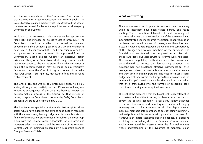a further recommendation of the Commission, Ecofin may turn that warning into a recommendation, and make it public. The Council acts by qualified majority vote (QMV) without the vote of the state concerned. Parliament is kept informed at all stages by Commission and Council.

In addition to this convoluted multilateral surveillance procedure, Maastricht also installed an excessive deficit procedure.<sup>2</sup> The Commission monitors whether the actual or planned government deficit exceeds 3 per cent of GDP and whether its debt exceeds 60 per cent of GDP. The Commission may address an opinion to the state concerned. On a proposal from the Commission, Ecofin decides whether an excessive deficit exists and then, on a Commission draft, may issue a private recommendation to the errant state. If no effective action is taken the recommendation may be made public. Persistent failure can cause the Council to 'give notice' of remedial measures which, if still ignored, may lead to fines and all-round embarrassment.

The Article 121 and Article 126 procedures apply to all EU states, although only partially to the UK.3 As we will see, one important consequence of the crisis has been to reverse the decision-making process in the Council so that instead of having to approve Commission proposals by QMV, Commission proposals will stand unless blocked by QMV.

The Treaties make special provision under Article 136 for those states which have adopted the euro to take further measures with the aim of strengthening budgetary discipline. Ministers of finance of the eurozone states meet informally in the Eurogroup, along with the Commissioner responsible for economic and monetary affairs and the euro and the President of the European Central Bank, in meetings prepared by a Eurogroup Working Group of finance officials.<sup>4</sup>

#### **What went wrong**

The arrangements put in place for economic and monetary union at Maastricht have been tested harshly and found wanting. The presumption at Maastricht, held commonly but not universally, was that the introduction of the euro would lead automatically to deeper economic integration. That presumption has been confounded. Instead of convergence, there has been a steadily widening gap between the wealth and competitivity of the stronger and weaker members of the eurozone. The financial markets fuelled the peripheral economies with cheap euro debt, but vital structural reforms were neglected. The national regulatory authorities were too weak and uncoordinated to correct the deteriorating situation. The eurozone had not developed effective instruments for crisis management when the inevitable asymmetric shocks came – and they came in seismic portions. The need for much stricter budgetary rectitude within the European Union was obvious the moment Europe's banking sector hit the liquidity crisis. When that crisis transmuted into the turmoil of sovereign debt, the future of the single currency itself was put at risk.

The seat of the problem is that the Maastricht treaty established a monetary union without putting in place a decent system to govern the political economy. Pascal Lamy rightly describes the set up of economic and monetary union as 'actually highly monetary and hardly economic at all'. This lapse allowed individual members of the eurozone to pursue their own distinctly national policies while they only paid lip-service to the broad EU framework of macro-economic policy guidelines. Ill-discipline went largely unchallenged by the European Commission and wholly uncorrected by pressure from the financial markets whose understanding of the dynamics of monetary union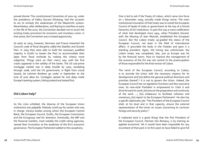proved dismal. The constitutional Convention of 2002-03, under the presidency of Valéry Giscard d'Estaing, had the occasion to act to remedy the weaknesses of the Maastricht system. Nevertheless, after deliberation, and fearing to interfere so early in the life of the euro, the Convention decided not to touch the existing treaty provisions for economic and monetary union: in that sense, the Convention was a missed opportunity.

As early as 2003, however, Germany and France breached the Council's code of fiscal discipline called the Stability and Growth Pact. In 2005 they were able to build the necessary qualified majority in Ecofin to loosen the Pact to accommodate their lapse from fiscal rectitude by making the criteria more subjective. Things went on their merry way until the first cracks appeared in the solidity of the banks. The US sub-prime mortgage market was in deep trouble by 2007, escalating through 2008, until the US government, in flight from moral hazard, let Lehman Brothers go under in September to the tune of over \$600 bn. Contagion spread far and deep inside Europe's banking system, hitting Iceland and Ireland first.

# **Did Lisbon help?**

As the crisis unfolded, the disarray of the European Union institutions was palpable. Nobody could say for certain who was in charge. Various bodies among whom the European Central Bank, the European Council, Ecofin, the European Commission and the Eurogroup vied for attention. Eventually, the IMF and the financial markets, most notably the credit rating agencies, vented their frustration at the weakness of the EU's economic governance. The European Parliament added to the cacophony.

One is led to ask if the Treaty of Lisbon, which came into force on 1 December 2009, actually made things worse. The main institutional innovation of that treaty was to install the European Council of heads of state or government at the top of a formal hierarchy of EU institutions. In part this was a mere codification of what had developed since 1974, when President Giscard, with the blessing of Jean Monnet, established the European Council. But the Lisbon treaty up-graded the status of the European Council, not least in the field of international affairs. It grounded the body in the Treaties and gave it a standing president. Again, the timing was unfortunate: the Lisbon treaty was completed, late, just as Europe was hit by the financial storm. How to improve the management of the economy of the EU was not central to the preoccupation of those responsible for the final version of Lisbon.

The remit of the European Council, according to Lisbon, is to 'provide the Union with the necessary impetus for its development and [to] define the general political directions and priorities thereof'.<sup>5</sup> It is not to govern the Union. Indeed, the European Council has no legislative functions and few executive ones. Its new-style President is empowered to 'chair it and drive forward its work; [to] ensure the preparation and continuity of the work ...; [to] endeavour to facilitate cohesion and consensus; [to] report to the European Parliament'. He also has a specific diplomatic job: 'The President of the European Council shall, at his level and in that capacity, ensure the external representation of the Union on issues concerning its common foreign and security policy'.6

It mattered (and is a good thing) that the first President of the European Council, Herman Van Rompuy, is by training an applied economist. Yet it would have been impossible for any incumbent of that post in its first years to have failed to give full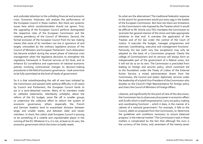and undivided attention to the unfolding financial and economic crisis. Economic historians will analyse the performance of the European Council in these matters. But there are systemic issues here which constitutionalists should not ignore. First, the upgrading of the European Council perforce downgraded the respective roles of the European Commission and the rotating presidency of the Council of Ministers. Second, the formal exclusion of the European Council from EU law making means that some of its members can live in ignorance of and largely untroubled by the ordinary legislative process of the Council of Ministers and European Parliament. Such dislocation has become evident during the recent phase of intensive crisis management when the legislative decisions to strengthen the regulatory framework in financial services at EU level, and to enhance EU surveillance and supervision of national economic policies involving controversial changes to decision-making procedures in the field of economic governance – took some time to be fully assimilated at the level of heads of government.

So it is that notwithstanding the raft of new laws initiated by the Commission and passed (with political difficulty in all cases) by Council and Parliament, the European Council tends to act in a semi-detached manner. Many of its members make ex cathedra statements, relentlessly unhelpful, about the reform of the EU budget; some file off in smaller groups to undermine the collective effort to reform the system of economic governance; others (especially the French and German leaders) tend to exacerbate divisions between larger and smaller states, and between older and newer members. In short, the Lisbon style European Council is proving to be something of a volatile and unpredictable player in the running of the EU. Whatever it is, it is not, at least on its own, the economic government which the Union so badly needs.

So what are the alternatives? The traditional federalist response to the search for government would put every egg in the basket of the European Commission. But here too there are limitations on the Commission's role imposed by the Treaties which it would be difficult to lift. Article 17(1) TEU mandates the Commission to 'promote the general interest of the Union and take appropriate initiatives to that end'. It oversees the application of the Treaties and of EU law under the control of the Court of Justice. It executes the budget, manages programmes and exercises 'coordinating, executive and management functions'. Famously, EU law (with very few exceptions) may only be adopted on the basis of a Commission proposal. Clearly the college of Commissioners and its services will always form an indispensable part of the government of a federal union, but it will not do so on its own. The Commission is precluded from leading on foreign and security policy, which constraint led to the foundation under the Treaty of Lisbon of the External Action Service, a mixed administration drawn from the Commission, the Council and states' diplomatic services under the leadership of a hybrid Vice-President of the Commission who doubles as the Council's High Representative for foreign policy and chairs the Council of Ministers of Foreign Affairs.

Likewise, and significantly for the point of view of this discussion, the Commission has to share executive power in economic affairs with Ecofin which is itself empowered to 'carry out policy-making and coordinating functions' – which it does, in the manner of a cabinet of a national government.<sup>7</sup> For example, it falls to the Council, albeit on proposals from the Commission, to 'determine the guidelines and conditions necessary to ensure balanced progress' in the internal market.<sup>8</sup> The Commission's task in these matters is complicated by the fact that although the euro is the currency of the Union, only seventeen of the twenty-seven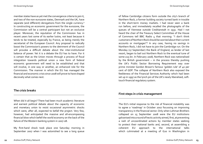member states have as yet met the convergence criteria to join it, and two of the non-eurozone states, Denmark and the UK, have separate (and different) derogations from the single currency.<sup>9</sup> In constructing an economic government for the eurozone, the Commission will be a central participant but not an exclusive player. Moreover, the reputation of the Commission has in recent years lost some of its earlier lustre, not least because it tends to be treated, especially by France, as being merely the secretariat of the European Council. Any proposal to radically boost the Commission's powers to the detriment of the Council will provoke a difficult debate about the inter-institutional balance of power. Yet it is a debate the EU has to have. For it is certain that as the Union moves through a process of fiscal integration towards political union a new form of federal economic government will need to be established and that will involve, in one way or another, an enhanced role for the Commission. The manner in which the EU has managed the financial and economic crisis since 2008 will prove to have shaped decisively what comes next.

### **The crisis breaks**

When did it all begin? There had been much academic literature and earnest political debate about the capacity of economic and monetary union to resist occasional asymmetric shocks which were, after all, expected to befall the project. Very few, however, had anticipated the massive and all-encompassing financial blow which befell the world economy on the back of the failure of the Western banking system in 2007-08.

My first-hand shock took place one Saturday morning in September 2007 when I was astonished to see a long queue

of fellow Cambridge citizens form outside the city's branch of Northern Rock, a former building society turned bank in trouble in the short-term money markets. I had never seen a bank run before, and immediately recalled the photographs of the queues of Viennese outside Creditanstalt in 1931. Had I not heard the chair of the Treasury Select Committee of the House of Commons tell BBC Radio 4 that morning: "I don't think customers of Northern Rock should be worried about their current accounts or mortgages"? In any case, having no savings in Northern Rock, I did not have to join the Cambridge run. On the Monday (17 September) the Bank of England, as lender of last resort, began to bail out Northern Rock to the eventual tune of some £25 bn. In February 2008, Northern Rock was nationalised by the British government  $-$  in the process thereby pushing the UK's Public Sector Borrowing Requirement way over prime minister Gordon Brown's famous 'golden rule' of 40 per cent of GDP. The collapse of Northern Rock also exposed the feebleness of the Financial Services Authority which had been set up in 1997 as the lynch pin of the UK's newly liberalised, softtouch financial regulatory system.

### **First steps in crisis management**

The EU's initial response to the risk of financial instability was to agree a 'roadmap' in October 2007 focussing on improving transparency in the financial sector. Only when Lehman Brothers collapsed on 15 September 2008 were the EU institutions galvanised into a round of hectic activity aimed, first, at preventing a rash of uncoordinated actions by member states seeking to protect their national banks and, second, at assembling a coherent EU approach to the international talks which culminated at a meeting of G20 in Washington in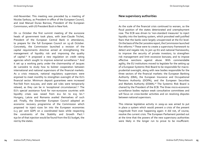mid-November. This meeting was preceded by a meeting of Nicolas Sarkozy, as President-in-office of the European Council, and José Manuel Durao Barroso, President of the European Commission, with US President Bush in New York.

On 12 October the first summit meeting of the eurozone heads of government took place, with Jean-Claude Trichet, President of the European Central Bank in attendance, to prepare for the full European Council on 15-16 October. Concretely, the Commission launched a revision of the capital requirements directive aimed at strengthening the management of liquidity risk and improving the quality of capital.<sup>10</sup> It proposed a new regulation on credit rating agencies which sought to improve external surveillance.<sup>11</sup> And it set up a working party under the chairmanship of Jacques de Larosière to study how to bolster cooperation between international and national supervisors of the financial markets. As a crisis measure, national regulatory supervisors were enjoined to meet monthly to strengthen oversight of the EU's financial sector. Minimum deposit guarantees were increased five-fold from €20,000, and state aid rules were temporarily relaxed, as they can be in 'exceptional circumstances'.12 The EU's special assistance fund for non-eurozone countries with liquidity crises was raised from  $\epsilon$ 12 bn to  $\epsilon$ 25 bn.<sup>13</sup> Hungary, Latvia and Romania availed themselves of such aid. Finally, the December European Council adopted an economic recovery programme of the Commission which proposed to inject €200 bn into the European economies (1.5 per cent GDP) on a coordinated basis while respecting the constraints of the Stability and Growth Pact.<sup>14</sup> €30 bn of that injection would be found from the EU budget, the rest by the states.

### **New supervisory authorities**

As the scale of the financial crisis continued to worsen, so the fiscal position of the states deteriorated and unemployment rose. The ECB was driven to 'non-standard measures' to inject liquidity into the banking system, which provoked well-justified fears that the banks were largely unsupervised at the EU level. On the basis of the De Larosière report, the Commission launched five reforms.<sup>15</sup> These were to create a supervisory framework to detect and negate risk; to join up EU and national frameworks; to improve the security of private investors; to strengthen risk management and limit excessive bonuses; and to impose effective sanctions against abuse. With commendable agility, the EU institutions moved to legislate for the setting up of a European Systemic Risk Board to be responsible for macroprudential oversight, along with new bodies responsible for the three sectors of the financial markets: the European Banking Authority (EBA), the European Insurance and Occupational Pensions Authority (EIOPA), and the European Securities and Markets Authority (ESMA).<sup>16</sup> The Systemic Risk Board is chaired by the President of the ECB. The three micro-economic surveillance bodies replace weak consultative committees and will focus on cross-border activities and on resolving disputes between national supervisors.

This intense legislative activity in 2009-10 was aimed to put in place a system which would prevent a crisis of the present magnitude from ever happening again: it did not, of course, resolve the current crisis. The European Parliament pointed out at the time that the powers of the new supervisory authorities were likely in the longer run to prove to be insufficient.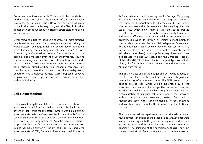On Governing Europe

Concerned about coherence, MEPs also ridiculed the decision of the Council to disburse the location of these new bodies across several European cities. However, they were all ready to begin their work in January 2011, and the EBA, in London, immediately set about conducting its first stress tests on 90 banks in 21 countries.

Other relevant initiatives included a controversial draft directive on alternative investment fund managers, aimed at curbing the worst excesses of hedge funds and private equity operations which had escaped monitoring and risk supervision.<sup>17</sup> This was followed by a Commission proposal for a regulation on the complex global market in over-the-counter derivatives, requiring central clearing and controls on short-selling and credit default swaps.18 President Barroso launched the 'Europe 2020' strategy aimed at boosting economic recovery, thus contributing a more optimistic tone to the otherwise depressing debate.19 Five ambitious targets were proposed covering employment, research, greenhouse gas emissions, education and social inclusion.

# **Bail-out mechanisms**

Nothing could stop the escalation of the financial crisis, however, which soon turned from a liquidity crisis for the banks into a sovereign debt crisis for the states. Greece was bailed out by eurozone states (via the Greek loan facility) and the IMF to the tune of €110 bn in May 2010 and for a second time in October 2012 with an aid programme of €100 bn which involved a 50 per cent 'haircut' for the private sector; in December 2010 Ireland was bailed out for €85 bn by the EU (EFSM share), the eurozone states (EFSF), Denmark, Sweden and the UK plus the

IMF; and in May 2011 €78 bn was agreed for Portugal. Temporary instruments had to be created for this purpose. The first, the European Financial Stability Mechanism (EFSM), worth €60 bn, was established by stretching the meaning of Article 122(2) TFEU which allows financial assistance to be granted to an EU state which 'is in difficulties or is seriously threatened with severe difficulties caused by natural disasters or exceptional occurrences beyond its control'. It remains a moot point, of course, about whether the financial collapse of Greece and Ireland had been strictly speaking beyond their control. At any rate, in order to reassure the lawyers – as well as to placate the UK (of which more later) – a supplementary instrument was also created on a non-EU treaty basis, the European Financial Stability Fund (EFSF). This mechanism is a special purpose vehicle of €440 bn for the eurozone alone, with an additional bung of €250 bn from the IMF.

The EFSM makes use of the budget and borrowing capacity of the EU to raise loans for the beneficiary state under the joint and several liability of all member states. The EFSF issues its own debt to provide loans which will be guaranteed by all the eurozone countries and by prospective eurozone members Sweden and Poland. It is enabled to provide loans for the recapitalisation of financial institutions, and it can intervene in both the primary and secondary markets. Both bail-out mechanisms come with strict conditionality of fiscal rectitude and constant supervision by the Commission, the ECB and the IMF.

The crisis spawned the rapid realisation that the existing – and much abused conditions of the Stability and Growth Pact were in any case inadequate to the job of ensuring fiscal prudence not just in the Greek and Irish case but across the eurozone more generally. The spiralling of the sovereign debt crisis now put the euro itself at risk. By 2010, twenty four of the twenty-seven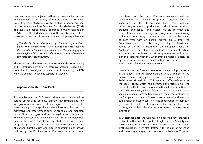member states were subjected to the excessive deficit procedure. In recognition of the gravity of the situation, the European Council agreed in October 2010 to establish a permanent bailout instrument, called the European Stability Mechanism (ESM). This involved a change in the Lisbon treaty, by way of an addition to Article 136 TFEU which provides for the member states of the eurozone to take specific measures. A new sub-paragraph reads:

 *3. The Member States whose currency is the euro may establish a stability mechanism to be activated if indispensable to safeguard the stability of the euro area as a whole. The granting of any required financial assistance under the mechanism will be made subject to strict conditionality.*

The ESM is intended to replace the EFSM and the EFSF in 2013, and is established by its own intergovernmental treaty, a first draft of which was signed in July 2011. At full capacity, the ESM will have an effective lending capacity of €500 bn.

# **European semester & Six Pack**

To complement the EU's new bail-out instruments, whose setting up required both EU primary law revision and new intergovernmental accords, it was agreed to adopt by EU secondary legislation a package intended to strengthen both the preventive and enforcement arms of economic and monetary union. Since the 1990s, and on the legal bases of Article 121 TFEU (broad economic guidelines) and Article 148 (employment guidelines), states had been expected to deliver regular progress reports to the Commission. Now, stronger surveillance of national fiscal policies and greater coordination of growth policies by the EU involves a 'European semester'. Under

the terms of the new European semester, national governments are obliged to present together for the inspection of the Commission both their national reform programmes (comprising structural policies on pensions, products and labour and capital market reforms) and their stability and convergence programmes (comprising budgetary projections). The cycle starts at the beginning of each year with an annual growth survey from the Commission which is discussed, possibly modified and agreed by the March meeting of the European Council. In April each government (excepting those countries already in a programme) publishes its reform programme and action plan in accordance with the EU orientation: these are assessed by the Commission and Council in time for the start of the annual round of national budget making.

How effective the European semester concept will prove to be in the longer term will depend on the close alignment of the macro-economic policy guidelines with the requirements of the Stability and Growth Pact. This approach effectively reverses the earlier policy, which had permitted the relaxation of the terms of the Pact to accommodate national foibles at a time of crisis. The semester, whose first full run took place in 2012, should also keep states on track towards the accomplishment of the Europe 2020 strategy. Greater involvement of both national parliaments, in quality control of the contribution of their own governments, and the European Parliament, in horizontal scrutiny, would help the European semester be a successful innovation.

In September 2010 the Commission published four proposals on fiscal matters which sought to toughen up the Stability and Growth Pact and impose sanctions against errant states. Two draft regulations were also drafted with the aim of detecting and correcting emerging macroeconomic imbalances. Together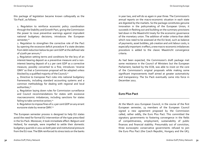this package of legislation became known colloquially as the 'Six Pack', as follows:

 1. Regulation to reinforce economic policy coordination through the Stability and Growth Pact, giving the Commission the power to issue preventive warnings against imprudent national budgetary decisions; introduces the European semester;<sup>20</sup>

 2. Regulation to strengthen the corrective role of the Pact by opening the excessive deficit procedure if a state deviates from debt reduction below 60 per cent GDP at the defined rate of  $1/2$ oth per annum;<sup>21</sup>

 3. Regulation setting terms and conditions for the levy of an interest-bearing deposit as a preventive measure and a noninterest bearing deposit of 0.2 per cent GDP as a corrective measure, possibly converted to a fine; introduces 'reverse QMV' so that a Commission proposal will be adopted unless blocked by a qualified majority of the Council; $^{22}$ 

 4. Directive to transpose Pact rules into national budgetary frameworks, including standard accounting systems and a common methodology for dealing with regional and local authorities;<sup>23</sup>

 5. Regulation laying down rules for Commission surveillance and Council recommendations for states with excessive macroeconomic imbalances, including sanctions for states failing to take corrective action; $24$ 

6. Regulation to impose fines of 0.1 per cent GDP on any errant eurozone state by reverse QMV.<sup>25</sup>

The European semester process is designed to help EU states avoid the need for formal EU intervention of the type prescribed in the Six Pack. Moreover, it took immediate effect: Belgium and Holland, for example, were impelled to settle their domestic budgetary quarrels in 2012 as both peer and institutional pressure from the EU rose. The EBA reinforced its stress tests on the banks

in year two, and will do so again in year three. The Commission's annual reports on the macro-economic situation in each state are digested by the markets. So the package constitutes genuine innovation in the policymaking of the European Union; it succeeds in fleshing out and building on the summary provisions laid down in the Maastricht treaty for the economic governance of the monetary union. The addition of wider criteria than debt which now need to be assessed at the EU level, such as balance of payments, asset bubbles, job creation and unit labour costs, is especially important: in effect, a new macro-economic imbalances procedure is added to the classic Maastricht convergence criteria.

As had been expected, the Commission's draft package met some resistance in the Council of Ministers but the European Parliament, backed by the ECB, was able to insist on the core of the Commission's original proposals while making some significant improvements itself aimed at greater automaticity and transparency. The Six Pack eventually came into force in December 2011.

# **Euro Plus Pact**

At the March 2011 European Council, in the course of the first European semester, 23 members of the European Council signed a new agreement proposed by the Commission called, rather oddly, the Euro Plus Pact. This committed the signatory governments to fostering convergence in the fields of competitiveness, employment, sustainability of public finances and financial stability. Presumably out of conviction, three eurosceptic conservative governments refused to join the Euro Plus Pact (the Czech Republic, Hungary and the UK);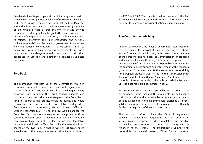Sweden declined to participate at that initial stage as a mark of annoyance at the imperious behaviour of the German Chancellor and French President, dubbed 'Merkozy'. Yet the Euro Plus Pact was a significant moment for the future economic governance of the Union in that a large majority of states showed themselves perfectly willing to go further and faster in the direction of integration than the British, notably, were prepared to tolerate. Moreover, the Pact emphasised the personal political responsibility of the heads of government to undertake 'concrete national commitments' – a welcome attempt to break away from the habitual practice of presidents and prime ministers who are always tempted to say one thing with their colleagues in Brussels and another to domestic audiences back home.

#### **Two Pack**

The momentum was kept up by the Commission, which in November 2011 put forward two new draft regulations on the legal basis of Article 136. The first would require every eurozone state to submit their draft national budgets (and not simply their pre-budgetary strategies) to the Commission for prior approval; this process would be public, and would require all the eurozone states to establish independent fiscal monitoring authorities (such as the UK's Office for Budget Responsibility).26 The second law would enhance the Commission's powers to intervene in the fiscal policies of those countries officially under a bail-out programme.<sup>27</sup> Inevitably, this mini-package, currently under the ordinary legislative procedure, is dubbed the 'Two Pack'. Not the least significant aspect of the Two Pack is that it will link EU treaty-based surveillance to the intergovernmental bail-out mechanisms of the EFSF and ESM. The constitutional implications of the Two Pack should not be underestimated: in effect, the European Union becomes the external supervisor of national budget making.

# **The Commission gets busy**

As the crisis rolled on, the heads of government intensified their efforts to ensure the survival of the euro, meeting seven times as the European Council in 2011, with three summit meetings of the eurozone. The hard-pressed Commissioner for economic and financial affairs and the euro, Olli Rehn, was up-graded to be Vice-President of the Commission with special responsibilities for the coordination, surveillance and enforcement of the economic governance of the eurozone. At the same time, responsibility for European statistics was shifted to the Commissioner for Taxation and Customs Union, Audit and Anti-Fraud. This is the only mid-term reshuffle of the college made by President Barroso since his initial appointment in 2004.

In November Rehn and Barroso published a green paper on eurobonds which set out the arguments for and against their introduction and sparked a large debate on the several options available for complementing fiscal discipline with fiscal solidarity expressed either in pro rata or joint and several liability for the sovereign debt of the eurozone states.<sup>28</sup>

The decision of G20 to back the 'Basel III' agreement between national bank regulators led the Commission in July 2011 to propose a further regulation and directive on capital requirements in order to strengthen the resilience of the sector.29 The indefatigable Commissioner responsible for financial markets, Michel Barnier, delivered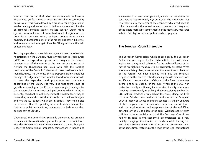another controversial draft directive on markets in financial instruments (Mifid) aimed at reducing volatility in commodity derivatives.30 This was followed by a proposal for a regulation on insider dealing and market manipulation and a related directive on criminal sanctions against market abuse.<sup>31</sup> Credit rating agencies were not spared from a third round of legislation: the Commission proposes to try to inject greater transparency, diversity and accountability into the ratings business.32 Likewise, auditors are to be the target of similar EU legislation in the field of accountancy.<sup>33</sup>

Running in parallel to the crisis management was the scheduled negotiations on the EU's new Multi-annual Financial Framework (MFF) for the expenditure period after 2013 and the related revenue issue of the reform of the own resources system.34 Neither the Hungarians nor Poles, who held the rotating presidency of the Council of Ministers in 2011, had been able to make headway. The Commission had proposed a fairly ambitious package of budgetary reform which allowed for modest growth to meet the expanding work programme and contractual obligations of the Union. The very idea that there could be growth in spending at the EU level was enough to antagonise those national governments and parliaments which, mired in austerity, cared not to look deeper into the matter. Were they to do so, they would discover that it is only their national budgets and not the EU budget which are in deficit. They should also be reminded that EU spending represents only 2 per cent of their total public expenditure, amounting to little more than one per cent of EU GDP.

Undeterred, the Commission suddenly announced its proposal for a financial transaction tax, part of the proceeds of which was intended to become a new revenue stream to the EU budget.<sup>35</sup> Under the Commission's proposals, transactions in bonds and

shares would be taxed at 0.1 per cent, and derivatives at 0.01 per cent, raising approximately  $\epsilon$ 57 bn a year. The motivation was two-fold: to levy the sector of the economy which had been so culpable in causing the recession, and to deepen the integration of the single market by complementing the regulatory measures in train. British government spokesmen had apoplexy.

# **The European Council in trouble**

The European Commission, which goaded on by the European Parliament, was responsible for this frenetic level of political and legislative activity. It will take time for the real significance of the raft of fire-fighting measures to be accurately assessed. What was immediately clear, however, was that even the combination of the reforms we have outlined here plus the continual emphasis on the need to take deeper supply side measures was insufficient to restore the confidence of the financial markets in the long-term viability of the euro. Whereas the ECB won praise for quietly continuing its extensive liquidity operations (lending approximately  $\epsilon_1$  trillion), the impression grew that the EU's political leadership was behind the curve, doing too little too late. Criticism was levelled in particular at the European Council, many of whose members seemed strangely unaware of the complexity of the economic situation, out of touch with the legal realities, and unappreciative of the unfulfilled potential of the EU to address the crisis. Weighed against such criticism is the undeniable fact that the European Council has had to respond in unprecedented circumstances to a very rapidly changing situation in the markets while lacking the executive instruments common to economic government and, at the same time, teetering at the edge of the legal competence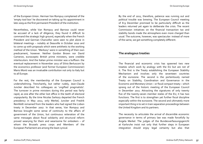of the European Union. Herman Van Rompuy complained of the 'empty tool box' he discovered on taking up his appointment in late 2009 as the first permanent President of the institution.

Nevertheless, while Van Rompuy and Barroso could never be accused of a lack of diligence, they found it difficult to command the strategic high ground, especially when the French President and German Chancellor were seen to plot alone in bilateral meetings – notably at Deauville in October 2010 and to come up with proposals which were antithetic to the working method of the Union. 'Merkozy' were in something of their own predicament, however. Neither Gordon Brown nor David Cameron, eurosceptic British prime ministers, were credible interlocutors. And the Italian prime minister was a buffoon: the eventual replacement in November 2011 of Silvio Berlusconi by the economics professor (and former European Commissioner) Mario Monti was an invaluable contribution not only to Italy but to all Europe.

For the rest, the membership of the European Council is underwhelming. Trenchantly, but rather rudely, Jean-Claude Juncker described his colleagues as 'ungifted pragmatists'. The turnover in prime ministers during this period was fairly rapid, as one after the other lost office in the teeth of electoral unpopularity. By the time Nicolas Sarkozy departed the French presidency in May 2012, only Merkel, Juncker and Fredrik Reinfeldt remained from the leaders who had signed the Lisbon treaty in December 2007. In that sense, Van Rompuy and Barroso brought some sense of continuity to the affairs of government of the Union, but continuous reiteration of the same messages about fiscal solidarity and structural reform proved wearying for them and wearisome for onlookers – of whom the Brussels press corps and Members of the European Parliament are among the least cynical.

By the end of 2011, therefore, patience was running out and political trouble was brewing. The European Council meeting of 8-9 December promised to be particularly difficult as the leaders returned yet again to deliberate the crisis. The recent Commission initiatives on the financial transaction tax and stability bonds made the atmosphere even more charged than usual. The outcome, however, was spectacular: instead of more of the same, we got something completely different.

# **The analogous treaties**

The financial and economic crisis has spawned two new treaties which work by analogy with the EU but are not of it. The first is the Treaty establishing the European Stability Mechanism and involves only the seventeen countries of the eurozone. The second is the portentously named Treaty on Stability, Coordination and Governance in the Economic and Monetary Union – or fiscal compact treaty – which sprang out of the historic meeting of the European Council in December 2011. Attracting the signatures of only twenty five of the twenty-seven member states of the EU, it has two functions. The first is to strengthen yet further fiscal discipline especially within the eurozone. The second and ultimately more important thing is to set in train separation proceedings between the United Kingdom and its partners.

The necessity to articulate the arrival of discernible economic governance in terms of primary law was made forcefully by Angela Merkel. The judges of the Bundesverfassungsgericht at Karlsruhe insist not only that further steps in European integration should enjoy legal certainty but also that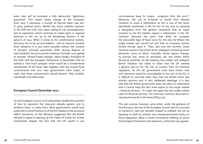every step will be accorded a fully democratic 'legitimacy guarantee'. This means treaty change at the European level, and, if necessary, a revision of German Basic Law too. In party political terms, Merkel has tricky coalition partners in the FDP and CSU who seem willing to risk euroscepticism, and an opposition which continues to makes gains in regional elections in the run up to the Bundestag election in the autumn of 2013. When it comes to EU constitutional matters, Germany has to be accommodated – and no advance towards fiscal solidarity is in any event possible without the consent of Europe's principal paymaster. With varying degrees of zeal, therefore, the euro summit meeting in October 2011 agreed to consider 'limited Treaty changes'. Mario Draghi, President of the ECB, told the European Parliament (1 December) that he wanted a 'new fiscal compact' which would be a 'fundamental restatement of the fiscal rules together with the mutual fiscal commitments that euro area governments have made', in order that those commitments should become 'fully credible, individually and collectively'.

#### **European Council December 2011**

So the European Council on 8-9 December tackled the question of how to represent the measures already agreed, and to reinforce them, in treaty form. Most governments would have preferred to revise Protocol 12 of the EU Treaties on the excessive deficit procedure, as Van Rompuy suggested. But the British refused to agree to opening up the Treaty of Lisbon for further amendment despite the fact that the UK would in any

circumstances keep its unique erogation from the euro. $36$ Moreover, the use of Protocol 12 would have allowed Cameron to avoid a referendum as this is one of the items specifically mentioned in the EU Act of July 2011 as enjoying a derogation from the general contention that all major revisions to the EU treaties require a referendum in the UK. Cameron laboured the point that while he accepted the inexorable logic of fiscal union for the rest, for Britain the single market was sacred turf and that no eurozone activity should intrude upon it. Then, late into the summit, David Cameron waved a document at his colleagues containing seven demands, some of which, ironically, would require changes to primary law, some to secondary law and others which fenced at windmills. At the meeting, this sudden and inelegant British initiative was taken to mean that the UK wanted a general opt-out for the City of London from EU financial regulation. As the UK government must have known that such demands would be unacceptable to the rest of the EU, it is difficult to conclude other than that the British move was entirely spurious and, in fact, deliberate sabotage. It is also odd that the British government does not seem to understand that it cannot keep the UK's main export to the single market – financial services – if it does not apply the new single market rules for financial services. The notorious Cameron document is reproduced exactly in the boxes  $[PG_{40-41}]$ .

The real surprise, however, came when, under the guidance of Van Rompuy, the rest of the European Council did not succumb to Cameron's veto but decided instead to outflank the UK by agreeing to draft an entirely new intergovernmental treaty on fiscal integration. After a month of intensive drafting, to which the European Parliament sent observers, a final text was agreed.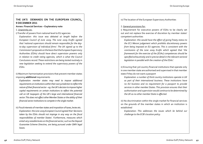#### **THE UK'S DEMANDS ON THE EUROPEAN COUNCIL, 9 DECEMBER 2011**

#### **Annex: Financial Services – Explanatory note**

1. Unanimity on:

i) Transfer of powers from national level to EU agencies

 *Explanation: this issue was debated at length before the European Council of June 2009. The June 2009 Ecofin agreed that 'national supervisors should remain responsible for the dayto-day supervision of individual firms'. The UK signed up to the Commission's proposals on the basis that the European Supervisory Authorities (ESAs) should have direct supervision powrers only in relation to credit rating agencies, which is what the Council Conclusions record. These restrictions are being tested routinely in new legislation seeking to extend the supervisory powers of the ESAs.* 

ii) Maximum harmonisation provisions that prevent member states imposing **additional** requirements

*Explanation: member states may need to impose additional requirements on institutions within their own jurisdiction to reflect the nature of their financial sector – eg. the UK's decision to impose higher capital requirements on certain institutions to reflect the potential call on UK taxpayers of the UK's large and international financial sector. This does not affect other Member States or the ability of their financial sector institutions to compete in the single market.* 

iii) Fiscal interests of member states and imposition of taxes, levies etc. *Explanation: the June 2009 European Council agreed that 'decisions taken by the ESAs should not impinge in any way on the fiscal responsibilities of member States'. Furthermore, measures which entail very sizeable levies on the financial sector, such as the Deposit Guarantee Scheme Directive, are being pursued under QMV legal bases.* 

iv) The location of the European Supervisory Authorities

#### 2. General provisions for:

i) Requirement for executive powers of ESAs to be clearly set out and not replace the exercise of discretion by member states' competent authorities

 *Explanation: this would have the effect of giving Treaty status to the ECJ Meroni judgement which prohibits discretionary powers from being imposed on EU agencies. This is consistent with the conclusions of the June 2009 Ecofin which agreed that 'the framework for the exercise of the [ESAs] competences should be specified exhaustively and in precise detail in the relevant sectoral legislation in parallel with the creation of the ESAs'.*

ii) Ensuring that 3rd country financial institutions that operate only in one member state are authorised and supervised in that member state if they do not want a passport

*Explanation: a number of third country institutions operate in UK as part of their international business. These institutions have no EU business and no requirement for a passport to provide services in other member States. This provision ensures that their authorisation and supervision would continue to be determined by the UK as no other member State is affected.* 

iii) No discrimination within the single market for financial services on the grounds of the member states in which an institution is established

 *Explanation: This addresses the issues which lie behind our challenge to the ECB's location policy.*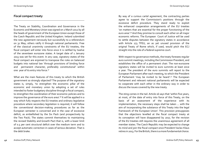#### **Fiscal compact treaty**

The Treaty on Stability, Coordination and Governance in the Economic and Monetary Union was signed on 2 March 2012 by all the heads of government of the European Union except those of the Czech Republic and the United Kingdom. Ireland submitted the new agreement nervously but successfully to a referendum on 31 May; others ratify it through national parliaments. Free of the classical unanimity constraints of the EU treaties, the fiscal compact will enter into force once it is ratified by twelve of the seventeen eurozone states. A target date of 1 January 2013 was set for this event. In any case, signatory states of the fiscal compact are enjoined to transpose the rules on balanced budgets into national law 'through provisions of binding force and permanent character, preferably constitutional' within one year of its entry into force.<sup>37</sup>

What are the main features of this treaty to which the British government so strongly objected? The purpose of the signatory states is, simply, 'to strengthen the economic pillar of the economic and monetary union by adopting a set of rules intended to foster budgetary discipline through a fiscal compact, to strengthen the coordination of their economic policies and to improve the governance of the euro area'.38 It will be applied in a way which fully respects the EU treaties and ordinary legislative procedure where secondary legislation is required; it will follow the conventional decision-making procedures as far as the European semester is concerned and in the case of excessive deficit, as embellished by the Six Pack (and prospectively by the Two Pack). The states commit themselves to maintaining the revised Stability and Growth Pact that is, with a lower limit of 0.5 per cent structural deficit over the medium term and to accept automatic correction in cases of serious deviation. That is the debt brake.

By way of a curious cartel agreement, the contracting parties agree to support the Commission's positions through the excessive deficit procedure. They stand ready to exploit the enhanced cooperation arrangements of the EU treaties 'on matters that are essential for the proper functioning of the euro area'.39 And they promise to consult each other on all major economic reforms. The European Court of Justice will be used to settle disputes between the signatory states in accordance with Article 273 TFEU, an as yet unused provision of the original Treaty of Rome which, if used, would pitch the ECJ straight into the role of a federal supreme court.

With respect to governance methods, the treaty foresees regular euro summit meetings, including the Commission President, and establishes the office of a permanent chair. The non-eurozone signatory states will be invited to euro summits at least once a year. The president of the euro summits will report to the European Parliament after each meeting, to which the President of Parliament 'may be invited to be heard'.40 The European Parliament and relevant national parliaments will be expected to cooperate with each other in the ordinary way in order to discuss the issues covered by the new treaty.

The sting comes in the tail. Article 16 says that 'within five years, at most, of the date of entry into force of this Treaty, on the basis of an assessment of the experience with its implementation, the necessary steps shall be taken … with the aim of incorporating the substance of this Treaty into the legal framework of the European Union'. This provision presupposes that the objections levelled at the fiscal compact treaty at its conception will have disappeared by 2017, for the revision of the EU treaties still requires the unanimous agreement of all member states. The Czech Republic may be expected to change its mind and join the fiscal compact once President Vaclav Klaus retires in 2013. For the British, there is a more fundamental choice.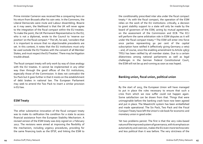Prime minister Cameron was received like a conquering hero on his return from Brussels after his vain veto. In the Commons, the Liberal Democrats were mute and Labour dissembling. Bizarre as it may seem, the likelihood is that the UK will never agree to the integration of the fiscal compact within the EU treaties. To make the point, the UK Permanent Representative to the EU, who is not a diplomat, wrote to the Council to 'reserve our position' on the fiscal compact.41 The UK, he said, 'considers that it is important to ensure that no objectionable precedents are set. In this context, it notes that the EU institutions must only be used outside the EU Treaties with the consent of all Member States, and must respect the EU Treaties'. There may be litigation trouble ahead.

The fiscal compact treaty will only work by way of close analogy with the EU treaties. It cannot be implemented in any other way than through the good offices of the EU institutions, especially those of the Commission. It does not contradict the Six Pack but it goes further in that it insists on the establishment of debt brakes in national law. The European Parliament may seek to amend the Two Pack to insert a similar provision in EU law.

# **ESM Treaty**

The other substantive innovation of the fiscal compact treaty was to make its ratification the condition for a state to access financial assistance from the European Stability Mechanism. A revised version of the ESM treaty was duly signed on 2 February 2012. The revisions were aimed at improving the flexibility of the mechanism, including urgency procedures, providing for the same financing tools as the EFSF, and linking the ESM to

the conditionality prescribed inter alia under the fiscal compact treaty.42 As with the fiscal compact, the operation of the ESM relies on the work of the EU institutions: critically, a decision to grant stability support to a state will only be made by the board of governors of the ESM, acting by mutual agreement, on the assessment of the Commission and ECB. The ECJ will perform the same arbitration role in ESM disputes as it will under the fiscal compact treaty.43 The ESM will enter into force once parties representing 90 per cent of the capital subscription have ratified it (effectively giving Germany a veto) – and, of course, once the enabling amendment to Article 136(3) TFEU has been ratified by all member states. Due to a certain dilatoriness among national parliaments as well as legal challenges in the German Federal Constitutional Court, the ESM will not be up and running as soon as was hoped.

# **Banking union, fiscal union, political union**

By the start of 2013, the European Union will have managed to put in place the rules necessary to ensure that such a crisis from which we now suffer could not happen again. Some satisfaction can be drawn from that. Things that were unimaginable before the banking crash have now been agreed and put in place. The Maastricht system has been embellished and made operational. The Six Pack, Two Pack and the Fiscal Compact Treaty have left the Union's rule book for economic and monetary union in good order.

Yet two problems persist. The first is that the very rules-based nature of the improved system of governance, with its emphasis on automaticity and coercion, makes the EU even more technocratic and less political than it was before. The very strictness of the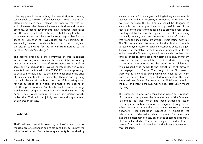rules may prove to be something of a fiscal straitjacket, proving too inflexible to allow for unforeseen events. Politics are further attenuated, which might please the financial markets but which increases the distance between authorities and the real economy. Eurozone governments have strapped themselves into the vehicle and locked the doors, but they pile into the back seat. None can claim to be truly responsible for the speed or direction of travel. Rules are no substitute for leadership; market confidence is not democratic trust; and the citizen still waits for the answer from Europe to the question 'So, who's in charge?'.

The second problem is the continuing chronic imbalance in the eurozone, where weaker states are picked off one by one by the markets as their efforts to reduce current deficits serve only to increase their overall indebtedness. It is widely accepted that the firewall of the EFSF/ESM is not large enough to get Spain or Italy back to the marketplace should the price of their national bonds rise inexorably. There is one big thing that will be certain to bring the cost of borrowing down for the eurozone as a whole, and that is the pooling of risk through eurobonds. Eurobonds would create a large liquid market of global attraction akin to the US Treasury bond. They would require a single instrument which, unlike the ESM, will be jointly and severally guaranteed by all eurozone states.

### **Eurobonds**

The EU will need to establish a treasury facility of its own to control the issuance of eurobonds and to set conditions to counter the risk of moral hazard. Such a treasury authority is conceived by some as a neutral EU debt agency, adding to the galère of remote technocratic bodies in Brussels, Luxembourg or Frankfurt. In my view, however, the EU treasury should be designed to eventually become a prominent and powerful part of the federal economic government. Its job is to provide a fiscal policy counterpoint to the monetary policy of the ECB, equipping the Bank, indeed, with an alternative source of advice to that from the ineluctably pro-cyclical credit rating agencies. The EU treasury needs to have the fiscal authority to be able to respond dynamically to social and economic policy dialogue; it must be accountable to the European Parliament. In its role as borrower the EU treasury would create a debt redemption fund; as lender, it should issue short-term T-bills and, ultimately, eurobonds where it would take sensitive decisions to vary the terms to one or other member state. Fiscal solidarity of this advanced type demands the growth of trust between the taxpayers of Europe. The design of the EU treasury, therefore, is a complex thing which we need to get right from the outset. More empirical development of the kind witnessed over four or five years as the EFSM transmuted to the EFSF and then to the ESM will not do. Fiscal union means big bang.

The European Commission's consultation paper on eurobonds of November 2011 pleased the federalist wing of the European Parliament, at least, which had been demanding action on the partial mutualisation of sovereign debt long before it had become an acceptable topic among consenting adults elsewhere. Its publication succeeded in exporting the rich academic discussion about options for eurobonds into the political marketplace, despite the apparent disapproval of Chancellor Merkel. The debate began to widen from a narrow focus on fiscal discipline to the broader question of fiscal solidarity.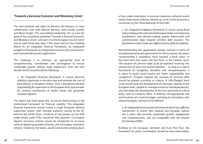### **'Towards a Genuine Economic and Monetary Union'**

The next initiative was taken by Herman Van Rompuy in close collaboration with José Manuel Barroso, Jean-Claude Juncker and Mario Draghi. This was belated leadership. On 25 June the gang of four presidents published 'Towards a Genuine Economic and Monetary Union', and sent it to the European Council which was to meet three days later.<sup>44</sup> The report laid out four building blocks for an integrated financial framework, an integrated budgetary framework, an integrated economic policy framework, and improved democratic legitimation.

The challenge is to maintain 'an appropriate level of competitiveness, coordination and convergence to ensure sustainable growth without large imbalances'. Over the next decade the EU should build the following:

 *1. An integrated financial framework to ensure financial stability in particular in the euro area and minimise the cost of bank failures to European citizens. Such a framework elevates responsibility for supervision to the European level, and provides for common mechanisms to resolve banks and guarantee customer deposits.*

The report was frank about the 'structural shortcomings in the institutional framework for financial stability'. The integrated financial framework should involve a single European banking supervision system with ultimate authority resting at the EU level for the whole Union. Conferral of new powers on the ECB under Article 127(6) TFEU 'would be fully explored'. A European deposit insurance scheme would be introduced to re-insure national deposit guarantee schemes, and a European resolution scheme, funded by the banks, would oversee the winding down of non-viable institutions. A common resolution authority would control both these schemes, backed up, so far as the eurozone is concerned, by the 'fiscal backstop' of the ESM.

*2. An integrated budgetary framework to ensure sound fiscal policy making at the national and European levels, encompassing coordination, joint decision-making, greater enforcement and commensurate steps towards common debt issuance. This framework could include also different forms of fiscal solidarity.*

Notwithstanding the agreements already reached in terms of strengthened economic governance for the eurozone, the report recommended a 'qualitative move towards a fiscal union'. In the short term this means the Two Pack. In the medium term, 'the issuance of common debt could be explored' involving 'the introduction of joint and several liabilities … as long as a robust framework for budgetary discipline and competitiveness is in place to avoid moral hazard and foster responsibility and compliance'. Progress towards the issuance of common debt should be phased according to criteria. 'A fully-fledged fiscal union would imply the development of a stronger capacity at the European level, capable to manage economic interdependences, and ultimately the development at the euro area level of a fiscal body, such as a treasury office. In addition, the appropriate role and functions of a central budget, including its articulation with national budgets, will have to be defined.'

*3. An integrated economic policy framework which has sufficient mechanisms to ensure that national and European policies are in place that promote sustainable growth, employment and competitiveness, and are compatible with the smooth functioning of EMU.* 

Building on the European semester and Euro Plus Pact, the framework for policy coordination should be more enforceable,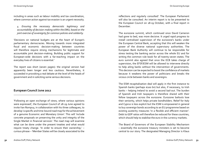including in areas such as labour mobility and tax coordination, where common action against tax evasion is an urgent necessity.

 *4. Ensuring the necessary democratic legitimacy and accountability of decision-making within the EMU, based on the joint exercise of sovereignty for common policies and solidarity.*

'Decisions on national budgets are at the heart of Europe's parliamentary democracies. Moving towards more integrated fiscal and economic decision-making between countries will therefore require strong mechanisms for legitimate and accountable joint decision-making. Building public support for European-wide decisions with a far-reaching impact on the everyday lives of citizens is essential.'

The report was short (seven pages): the original version had apparently been longer and less cautious. Nevertheless, it succeeded in provoking a real debate at the level of the heads of government and in soliciting some serious decisions.

# **European Council June 2012**

'Following an open exchange of views, where various opinions were expressed', the European Council of 28-29 June agreed to invite Van Rompuy, in collaboration with his three colleagues, to develop 'a specific and time-bound road map for the achievement of a genuine Economic and Monetary Union'. This will 'include concrete proposals on preserving the unity and integrity of the Single Market in financial services'. The road map will examine what can be done under the present treaties and what would require treaty change. 'In order to ensure their ownership,' – curious phrase – 'Member States will be closely associated to the

reflections and regularly consulted'. The European Parliament will also be consulted. An interim report is to be presented to the European Council on 18-19 October, with a final report in December.

The eurozone summit, which continued once David Cameron had gone to bed, was more decisive. It urged rapid progress to install centralised supervision of the eurozone's banks under the European Central Bank, accepting that this will weaken the power of the diverse national supervisory authorities. The European Bank Authority will continue to be responsible for stress testing the banking sector across the whole EU and for writing the common rule book for all twenty-seven states. The euro summit also agreed that once the ECB takes charge of supervision, the EFSF/ESM will be allowed to intervene directly to help ailing banks without the intervention of governments. This decision can be expected to boost the confidence of markets because it weakens the power of politicians and breaks the vicious circle between banks and sovereigns.

The ESM recapitalisation deal will apply in the first instance to Spanish banks (perhaps €100 bn) but also, if necessary, to Irish banks – helping Ireland to avoid a second bail-out. The burden of Spanish and Irish taxpayers is therefore shared with their fellow taxpayers across the eurozone. Eurozone bailouts lose their seniority, which helps private bondholders. Relief for Italy and Cyprus is less explicit but the ESM is empowered in general to buy sovereign bonds according to an EU programme based on existing austerity measures 'in a flexible and efficient manner'. Debt to GDP ratios will therefore be reduced for these countries, which should help to stabilise the euro in the currency markets.

The Board of Governors of the European Stability Mechanism – essentially the eurozone treasury ministers is set to become central to our story. The designated Managing Director is Klaus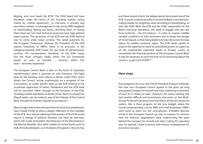Regling, who now heads the EFSF. The ESM board will have discretion under the terms of the founding statute, acting mainly by 'mutual agreement', to intervene in primary and secondary markets. In emergencies it may act by QMV weighted by shareholding. Bailing out banks, shrinking them or closing them down are not mere technical issues but have high political repercussions. The governors of the ECB and the ESM deserve now to come under closer scrutiny. This raises questions for the European Parliament: whereas the President of the ECB reports frequently to MEPs, there is no provision in the intergovernmental ESM treaty for any kind of parliamentary scrutiny. The incorporation, therefore, of the ESM treaty and the fiscal compact treaty within the EU framework proper as soon as possible – certainly within five years – becomes imperative.

The European Central Bank is also on the brink of important transformation when it assumes its new functions. The legal base for the banking union reform is Article 127(6) TFEU which allows the Council, acting unanimously on a proposal of the Commission, to confer specific tasks on the ECB relating to the prudential supervision of banks. Parliament and the ECB itself will be consulted. Other changes to the functions of the ECB, including market operations as lender of last resort to solvent but illiquid banks, can be made by way of the Statute of the Central Bank through the ordinary legislative procedure.<sup>45</sup>

Mario Draghi seems less reluctant than his illustrious predecessor Jean-Claude Trichet to allow a deeper reflection on the mandate of the ECB. Any radical widening of the powers of the ECB would require a change of political direction not least by Germany, which still vividly remembers the behaviour of the Reichsbank in the Weimar Republic. But other models of central banks exist to that of the Bundesbank, as in the Bank of England or the US Fed,

and these should inform the debate about the revised role of the ECB. It would surely be possible to revise the Bank's own decisionmaking bodies by weighting votes according to shareholding, as with the ESM. Both the ECB and the ESM, responsible for the Bank's technical operations, will need to engage with the new fiscal authority – the EU treasury – in order to impose credible variable conditions on their borrowers and to lessen the danger of moral hazard, so that being bailed out never becomes the easy option for weaker eurozone states. The ECB needs rapidly to acquire the expertise to wield its centralised powers to supervise all the systemically important banks in Europe. Lastly, to consolidate the financial position of the European Central Bank it may be necessary to raise the limit on EU borrowing above the current 1.23 per cent of GNP.46

#### **Next steps**

Encouraged to do so by new French President François Hollande, the June 2012 European Council agreed to the good yet long anticipated Compact for Growth and Jobs, mobilising investment of €120 bn in theory at least. However, the same meeting also had another difficult and inconclusive discussion on the Multi-Annual Financial Framework and the reform of the own resources system. Nor is there progress on the 2013 budget, where the Council proposes deep cuts for R&D and small businesses. MEPs were quick to point out the contradiction. President Barroso wrote to the European Council (25 July) to express his concern that the financial negotiations were undermining the spirit behind the Compact for Growth and Jobs. Cutting EU spending was, he warned, a false economy with serious consequences for economic recovery.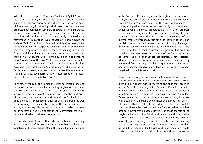When he reported to the European Parliament (3 July) on the results of the summit, Barroso made it plain that he would have liked the European Council to go further in support of the gang of four's banking, fiscal and political union. 'While there was progress in recognition that there is a need for a stronger Europe,' he said, 'there was also very significant resistance to further steps forward, but there is a resistance precisely because there is movement.' It is clear that several conservative prime ministers, such as Mark Rutte, Fredrik Reinfeldt and Jyrki Katainen, have yet to be brought to accept the federalist logic which underlies the Van Rompuy report. With respect to banking union, the Czechs and Poles have worries about losing all control over their banks (which are wholly owned subsidiaries of eurozone banks). And as is well known, Merkel continues, at least in public, to insist on a commitment to political union as the absolute prerequisite of fiscal union. A large majority of the European Parliament, however, approved the outcome of the June summit – and, in passing, gave Barroso his warmest reception (not least because he let fly at the British Tories).

Fortunately, many of the immediate steps to create a banking union can be undertaken by secondary legislation, and here the European Parliament comes into its own. The ordinary legislative procedure might take more time than the quick fixes of the intergovernmental method, as with the Six Pack, but it does provide a serious legitimation of what is agreed, as well as performing a useful didactic purpose. The Parliament, on the whole, is having a good crisis, and will be determined to capitalise on its success at the next constitutional Convention especially once it is refreshed by the elections in 2014.

One needs always to recall that, whereas national vetoes may work at the level of the European Council to block or blunt the initiatives of the four presidents, in the Council of Ministers and

in the European Parliament, where the legislative work is to be done, the occurrence of such vetoes is much more rare. Moreover, even if a blocking minority exists in the Ecofin of twenty-seven states, it only takes nine eurozone states ready to move forward under Lisbon's enhanced cooperation provisions for progress to be made as long as such progress in not challenged by an outsider state as being detrimental to the functioning of the internal market.47 Potentially, use of this facility brings the Union flexibility as to how it addresses its economic policy challenges: enhanced cooperation can be used experimentally, as a way to test-run ideas pitched to greater integration. It is doubtful whether the single market programme of the Commission can be completed at all if enhanced cooperation is not exploited. Moreover, fiscal and social security policies which are explicitly exempted from the single market programme are open to the use of enhanced cooperation as long as this does not impact negatively on the internal market.48

What all seem to agree, however, is that there will be no return to the previous situation in which the UK was allowed to veto deeper integration. Nobody evinces regret at the split that occurred at the December meeting of the European Council. It remains apparent that David Cameron cannot prevent whatever is about to happen: his bluff has been comprehensively called. Cameron boasted to the press after the meeting on 29 June: 'We won't be part of a banking union, fiscal union or political union'. This means that the UK is headed directly either for complete withdrawal from the EU or, more likely, for a formal second-class associate membership based essentially on those aspects of the single market which the British find palatable and its erstwhile partners tolerable. One notes the delicious irony of the situation in which, just as the UK government rejects the European banking union, many high priests of Anglo-Saxon capitalism residing in the City of London (itself a victim of light regulation) would prefer to participate in just such a centralised continental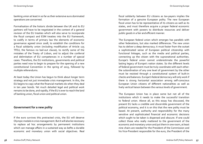banking union at least in so far as their extensive euro dominated operations are concerned.

Formalisation of the historic divide between the UK and its EU partners will have to be negotiated in the context of a general revision of the EU treaties which will also serve to incorporate the fiscal compact and ESM treaties into the EU framework, to codify in terms of primary law the elements of economic governance agreed since 2008, to establish the conditions for a fiscal solidarity union (including modification of Article 125 TFEU, the famous no bail-out clause), to rectify some of the mistakes of the Treaty of Lisbon, and to adjust the conferral and delimitation of EU competences in a number of special cases. Therefore, the EU institutions, governments and political parties need now to begin to prepare for the opening of a new constitutional Convention in the spring of 2015, followed by multiple referendums.

At least today the Union has begun to think about longer term strategy and not just immediate crisis management. In this, the EU begins to copy what the financial markets do when they deal in ten year bonds. Yet much detailed legal and political work remains to be done, and rapidly, if the EU is ever to reach the land of banking union, fiscal union and political union.

# **Government for a new polity**

If the euro survives this protracted crisis, the EU will deserve Olympic medals in crisis management. But it will also be necessary to replace ad hoc arrangements by permanent institutions which can manage affairs in a sustained way as befits a durable economic and monetary union with social objectives. Real

fiscal solidarity between EU citizens as tax-payers implies the formation of a genuine European polity. The new European fiscal union has to be representative of its citizens as well as its states, and must therefore acquire a proper federal economic government with powers to distribute resources and deliver public goods in a fair and efficient manner.

The European federal union which emerges has parallels with other federations, but also marked differences. The new union has to deliver a deep democracy; it must foster from the outset a sophisticated sense of European political citizenship with functional linkages, such as the media and political parties, connecting up the citizen with the supranational authorities. Europe's federal union cannot underestimate the powerful lasting legacy of Europe's nation states. So the different levels of federal government must be truly coordinate with each other: the subordination of any one level of government by the other must be resisted through a constitutional system of built-in checks and balances. Europe's federal democracy will only work if there is strong horizontal association among self-conscious European Union citizens of different nationalities as well as lively vertical liaison between the various levels of government.

The European Union has in place some but not all of the institutions which it needs to make the successful transition to federal union. Above all, as this essay has discussed, the present EU lacks a credible and discernible government of the political economy, and it is on this that the new polity must be based. At present, authority and responsibility for the many sensitive and sophisticated financial and economic decisions which ought to be taken is dispersed and obscure. If one could collect those who really mattered to the government of the economic and monetary union and put them in one room, at least nine chairs are needed for the President of the Commission and his Vice-President responsible for the euro, the President of the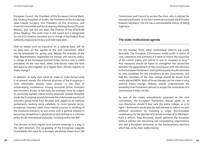European Council, the President of the European Central Bank, the rotating President of Ecofin, the President of the Eurogroup (Jean-Claude Juncker), the President of the Economic and Financial Committee and the Eurogroup Working Group (Thomas Wieser), and, last but not least, the Director of the EFSF/ESM (Klaus Regling). The ninth chair is still vacant but is designated for the EU's treasury secretary put in charge of the federal fiscal authority empowered to buy and hold state debt.

How to realise such an executive on a rational basis will be an early item on the agenda of the next Convention, which can be anticipated for spring 2015. Maybe the example of the High Representative responsible for foreign and security policy, in charge of the European External Action Service, sets a useful precedent. At the very least, these nine should make the time and space to dine together on a regular basis. (Dinner requires no treaty change.)

In addition, an early start could be made to make formal what is at present merely the informal structure of the Eurogroup.<sup>49</sup> Such informality already looks archaic in the face of embarrassing incoherence among eurozone prime ministers and ministers. Access to bail-outs, for example, must be subject to commonly agreed criteria strictly observed. Greater discipline inside the Eurogroup would eliminate the unfortunate practice of ministers going home from Brussels and, egged on by national parliaments, seeking extra collateral. In more general terms, Eurogroup ministers need more mental practice in thinking of the eurozone economy as one entity with a general interest in becoming competitive in global terms and sticking to a common policy for all international purposes, including within the IMF.

The decision to hold regular euro summit meetings is a step in the right direction. The up-grading of the Eurogroup suggests immediately the need for a stronger secretariat drawn from the

Commission and Council to service the chair, who is elected for two and a half years. Is Juncker's eventual successor the EU's pilot treasury secretary? The EU has a commendable history of being ingenious.

# **The wider institutional agenda**

On the broader front, other institutional reforms are surely desirable. The European Commission would profit in terms of cost, coherence and authority if it were to follow the injunction of the Lisbon treaty and reduce in size to nineteen in 2014.<sup>50</sup> And measures should be taken to strengthen the connection between the appointment of the Commission with the elections to the European Parliament. Each political party should nominate its own candidate for the presidency of the Commission, and half the members of the new college should be drawn from newly elected MEPs. Both of those changes can be made in 2014 without treaty change. Nobody should underestimate the possibility that Parliament refuses to accept the nomination of a Commission it does not like.

As one of the treaty amendments proposed at the next Convention, the European Parliament should agree to its own dissolution should it ever sack the entire college, as is its right.51 Parliament would also be well-advised to reform its own electoral procedure by installing a single pan-European constituency for the election of a certain number of its Members. Such a reform, long discussed, would galvanise the European political parties into becoming real campaigning organisations and add a European dimension to the Parliamentary elections which has, so far, been sadly missing.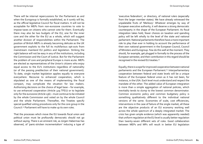There will be internal repercussions for the Parliament as and when the Eurogroup is formally established, as it surely will be, as the official legislative Council for fiscal matters. It will not be acceptable for MEPs from non-eurozone countries to vote to impose taxes on citizens who cannot vote for them. Eventually there may also be two budgets of the EU, one for the inner core and the other for the EU as a whole, which will suggest another division of responsibilities within the Parliament. The position of British MEPs is already becoming delicate as the UK government exploits to the full its multifarious opt-outs from mainstream mainland EU politics and legislation. Striking the right balance will not be easy in any of the institutions, including the Commission and the Court of Justice. But for the Parliament the problem of core and peripheral Europe is more acute. MEPs are elected as representatives of the Union's citizens who enjoy equal access to the EU's institutions regardless of nationality (or of the passing predilection of their national government). To date, single market legislation applies equally to everyone everywhere. Recourse to enhanced cooperation, which is stipulated as one of the means of implementing the fiscal compact, may complicate the situation for law makers. Authorising decisions on the choice of legal base – for example, to use enhanced cooperation (Article 329 TFEU) or to legislate only for the eurozone (Article 136) – must continue to be initiated by the whole Commission and voted on by the whole Council and the whole Parliament. Thereafter, the Treaties specify special qualified voting procedures only for the core group in the Council.52 Parliament will have to make up its own rules.

That the processes which move the EU towards fiscal union and political union must be profoundly democratic should not go without saying. There is an eminent risk, as Jürgen Habermas has observed, of 'panic-stricken incrementalism' inducing a type of 'executive federalism', or directory, of national rulers (especially from the larger member states). We have already witnessed the unpalatable fruits of 'Merkozy'. Whatever emerges by way of European executive authority, it will deserve a strong democratic counterparty in the shape of the European Parliament. As fiscal integration takes hold, fewer choices on taxation and spending policy will be left wholly to the level of the state and national parliament. National parliaments therefore have a more important role to play than ever in holding to account the performance of their own national government in the European Council, Council of Ministers and Eurogroup. Few do this well at the moment. They should, for example, get plugged in formally to the process of the European semester, and their contribution in this regard should be recognised in the revised EU treaties.53

Equally, there is scope for improved cooperation between national parliaments and the European Parliament.54 Interparliamentary cooperation between federal and state levels will be a unique feature of the European federal union as it has not been, for instance, in the USA. Each level must understand and respect the mandate of the other. The added value of European integration is more than a simple aggregation of national policies, which inevitably tends to slump to the lowest common denominator. Common economic policy and common budgetary policy is something qualitatively different to the individual national versions of the same. Economies of scale, cost efficiencies, interventions in the case of failure of the single market, all these are the objective products of an EU economy working well across the whole spectrum of a deeply integrated market. The crisis has given ample evidence (which was apparently needed) that uniform regulation at the EU level is usually better regulation than twenty-seven different sets of rules. Good collaboration between MEPs and MPs will result in better EU legislation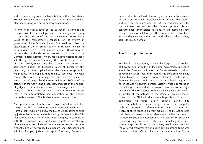On Governing Europe

and its more rigorous implementation within the states. Stronger European political parties also have an important role to play in facilitating interparliamentary cooperation.

Reform of certain aspects of the European Parliament and a larger role for national parliaments would go some way to stem the criticism of the German Federal Constitutional Court of the representative capability of the system of governance of the European Union. One need not follow the *obiter dicta* of the Karlsruhe court in all respects to heed its basic lesson, which is that a more federal EU will have to be grounded in the democratic constitutional norms of the German Federal Republic which, for obvious historic reasons, set the gold standard among the constitutional courts of the twenty-seven member states. We have not said much about the European Court of Justice in this pamphlet, but the implication of the federal surge which we propose for Europe is that the ECJ continues to evolve confidently into a federal supreme court which is respected even at arms' length by the state judiciaries. Reform of the statutes of the Court, and a necessary increase in the number of judges, is currently under way. No change needs to be made to its treaty mandate – which is, quite simply, to 'ensure that in the interpretation and application of the Treaties the law is observed'.55 That is what it must continue to do.

An important element in this process is prescribed by the Lisbon treaty: the EU's accession to the European Convention on Human Rights which will allow the ECJ at Luxembourg to build up jurisprudence in the field of human rights, based on the EU's mandatory own Charter of Fundamental Rights, in partnership with the European Court of Human Rights at Strasbourg. (Somewhere in the middle of the triangle formed by the three elegant cities of Karlsruhe, Luxembourg and Strasbourg one will find Europe's judicial hot spot.) The 2015 Convention

must make its hallmark the recognition and advancement of the constitutional interdependence among the states, and between the states and the EU, which is imperative for the ultimate success of the federal project. Recent constitutional controversies in Hungary and Romania show how a very important facet of EU citizenship is to have faith in the independence of the courts and calibre of the judiciary across the EU as a whole.

# **The British problem again**

Which talk of constitutions, brings us back again to the problem of how to deal with the Brits. Some explanation is needed about the European policy of the Conservative-led coalition government which took office during the euro crisis weekend of 9-10 May 2010. There are two main elements. The first is the European Union Act which was passed into law in July 2011. Its effect was to entrench inside Britain's fragile constitution the holding of referendums whenever there are to be major revisions of the EU treaties. Where the changes do not involve a transfer of competence to the Union or an increase of powers to the EU institutions there is provision for acts of parliament. All three British political parties had been tempted at some stage down the populist path to promise a referendum on one or other EU treaty: all three reneged on their promise. The EU Act ensures that there will have to be a referendum on the outcome of the next constitutional Convention. The state of British public opinion on any European matter has for a long time been unremittingly hostile. No political party would seem to have the wit or wherewithal to turn public opinion around to be well disposed to the UK's participation in a federal union. So the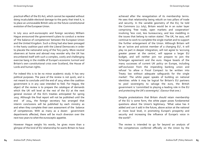practical effect of the EU Act, which cannot be repealed without doing incalculable electoral damage to the party that tried it, is to place an unmoveable British veto on the future constitutional evolution of the European Union.

In July 2012 arch-eurosceptic and foreign secretary William Hague announced the government's plans to conduct a review of 'the balance of competences' between the European Union and the United Kingdom. Such a thing had also been presaged in the hasty coalition pact with the Liberal Democrats in order to placate the nationalist wing of the Tory party. More neutral observers at home and abroad may wonder why the UK has encumbered itself with such a complex, costly and challenging exercise bang in the middle of Europe's economic turmoil and Britain's own constitutional crisis over Scotland, the House of Lords and human rights.

For indeed this is to be no minor academic study. It has very political purposes. The pace of the review is not quick, and is not meant to conclude until the end of 2014 when the coalition government is in any case intended to fold. For Hague, the object of the review is to prepare the catalogue of demands which the UK will level at the rest of the EU at the next general revision of the EU's treaties anticipated for spring 2015. Although the final report will not be published until the end of 2014, the foreign secretary has arranged that interim conclusions will be published by each ministry as and when they complete their own assessment of the balance of competences. With as many as a dozen government departments affected, there will be much diversion over the next two years to whet the eurosceptic appetite.

However Hague weighs his words, he gives more than a glimpse of the kind of EU relationship he wants Britain to have achieved after the renegotiation of its membership terms. He sees that relationship being rebuilt on two pillars of trade and security. In the variable geometry of the EU, he told the Commons (12 July), Britain would be in an outer layer comprising 'free trade, open markets and cooperation' involving 'less cost, less bureaucracy, and less meddling in the issues that belong to nation states'. The UK, he says, will continue to work to complete the single market and to support the further enlargement of the Union. Although Britain will be an 'active and activist member of a changing EU', it will play no part in deeper integration, will not agree to 'accruing greater power at the centre', will oppose a larger EU budget, and will neither join nor prepare to join the Schengen agreement and the euro. Hague boasts of the many successes of current UK policy on Europe, including self-exclusion from the impending banking union and refusal 'to allow a Fiscal Compact to be written into Treaty law without adequate safeguards for the single market'. The white paper speaks of building on national identities: while it may be logical for Britain's EU partners to pool sovereignty to salvage the euro, the British government is 'committed to playing a leading role in the EU and protecting the UK's sovereignty'. (Savour that one.)

Despite protestations that Britain should retain membership of the EU is some form, the white paper poses fundamental questions about the Union's legitimacy. 'What value has it added and can it add in the future, above action at the national or more local level, in promoting Europe's prosperity and security and increasing the influence of Europe's voice in the world?'.

The review is intended to go far beyond an analysis of the competences conferred officially on the Union by the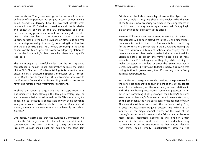member states. The government gives its own much broader definition of competence: 'Put simply,' it says, 'competence is about everything deriving from EU law that affects what happens in the UK'. Called into question are all the legislative and executive powers of the EU institutions and their decision-making procedures, as well as the alleged federalist bias of the case law of the European Court of Justice. Specific targets are the EU's provisions on state aids and free movement (presumably of persons), the working time directive, and the use of Article 352 TFEU which, according to the white paper, constitutes a 'general power to adopt legislation to pursue the Community's objectives when there is no specific legal base'.

The white paper is mercifully silent on the EU's growing competence in human rights, presumably because the status of the EU's Charter of Fundamental Rights is currently under discussion by a dedicated special Commission on a [British] Bill of Rights, and because the EU's controversial accession to the European Convention on Human Rights will in due course have to be ratified by the Westminster parliament.

In short, the review is large scale and its scope wide. It is also uniquely British: although the foreign secretary says he welcomes submissions of evidence from his EU counterparts, it is impossible to envisage a comparable review being launched in any other country. What would be left of the Union, indeed, if every member state were to embark unilaterally on such an exercise?

One hopes, nevertheless, that the European Commission will remind the British government of the political context in which competences have been conferred by treaty on the Union. President Barroso should spell out again for the tone deaf

British what the Lisbon treaty lays down as the objectives of the EU (Article 3 TEU). He should also explain why the rest of the Union is now preparing to enhance the competences of the Union and to strengthen its capacity to act – in fact, going in exactly the opposite direction to the British.

However William Hague may pretend otherwise, his review of competences will be seen elsewhere in the EU as disingenuous. He needs to be told that it is fundamentally contradictory for the UK to claim a senior role in the EU without making the perceived sacrifices in terms of national sovereignty that its partners are at long last ready to make. It does not look well for British ministers to preach the 'remorseless logic' of fiscal union to their EU colleagues, as they do, while refusing to make concessions in a federal direction themselves. For Liberal Democrats, ostensibly Britain's federalist party, it is ironic that during its time in government, the UK is setting its face firmly against a federal Europe.

Yet the Hague strategy is an accident waiting to happen even for the Tories. He appears to be trying to shape the British debate as a choice between, on the one hand, a new relationship with the EU having repatriated some competences in an outer tier (something slightly stronger than Turkey's customs association or Norway's European economic area status) and, on the other hand, the hard core secessionist position of UKIP. There are at least three reasons why this is a flawed policy. First, it does not guarantee Hague's bottom line, which is UK influence in the single market which, for the sake of the country's own economic recovery, the British need to become more deeply integrated. Second, it will diminish British influence in the wider world which cannot understand why so many Brits do not see Europe as their natural destiny. And third, being wholly unsatisfactory both to the

On Governing Europe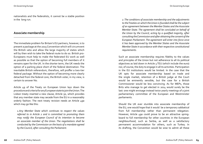nationalists and the federalists, it cannot be a stable position in the long run.

#### **Associate membership**

The immediate problem for Britain's EU partners, however, is to present a package at the 2015 Convention which will circumvent the British veto and allow the large majority of states which will by then wish to take the federal route to do so. British pro-Europeans must help to make the federated EU work as well as possible so that the option of becoming full members of it remains open for the UK. In the shorter term, the UK needs the option of a parking place short of the federal destination. The inevitable British referendum, therefore, will proffer a two-tier federal package. Without the option of becoming more clearly detached from the federal core, the British voter, in my view, is certain to answer No.

Article 49 of the Treaty on European Union lays down the procedure and criteria for any European state to join the Union. The Lisbon treaty inserted a new clause, Article 50, which provides that any member state may secede from the EU in a reasonably orderly fashion. The next treaty revision needs an Article 49a which may go like this:

 *1.Any Member State which continues to respect the values referred to in Article 2 and is committed to promoting them may notify the European Council of its intention to become an associate member of the Union. The negotiations shall be conducted by the Commission on the basis of a mandate agreed by the Council, after consulting the Parliament.* 

 *2. The conditions of associate membership and the adjustments to the Treaties on which the Union is founded shall be the subject of an agreement between the Member States and the Associate Member State. The agreement shall be concluded on behalf of the Union by the Council, acting by a qualified majority, after consulting the Commission and after obtaining the consent of the European Parliament. The agreement will enter into force once it has been approved by the Member States and the Associate Member State in accordance with their respective constitutional requirements.* 

Such an associate membership requires fidelity to the values and principles of the Union but not adherence to all its political objectives as laid down in Article 3 TEU (which include the euro) nor, of course, the duty to engage in all its activities. Participation in the EU institutions would be limited. In the case that the UK opts for associate membership based on trade and the single market, retention of a British judge at the Court would be eminently sensible, but the case for a British Commissioner would be less convincing. As for MEPs, those Brits who manage to get elected in 2014 would surely be the last: one might envisage instead twice yearly meetings of a joint parliamentary committee of the European and Westminster parliaments.

Should the UK ever stumble into associate membership of the EU, one would hope that it would be a temporary sabbatical from full membership rather than permanent relegation. However, Article 49a could prove to be an attractive springboard to full membership for other countries in the European neighbourhood, such as Serbia, as well as a satisfactory permanent accommodation for others, such as Turkey. In its drafting, the Convention would be wise to admit all these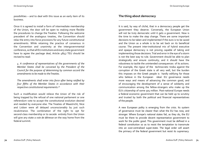possibilities – and to deal with this issue as an early item of its business.

Once it is agreed to install a form of intermediate membership of the Union, the door will be open to making more flexible the procedures to change the Treaties. Following the welcome precedent of the analogous treaties, the Convention should relax the entry into force provisions for any future constitutional amendments. While retaining the practice of consensus in the Convention and unanimity at the intergovernmental conference, so that all EU institutions and every state government have to agree the package deal, Article 48(4) TEU should be revised to read:

 *4. A conference of representatives of the governments of the Member States shall be convened by the President of the Council for the purpose of determining by common accord the amendments to be made to the Treaties.*

*The amendments shall enter into force after being ratified by four fifths of the Member States in accordance with their respective constitutional requirements.56*

Such a modification would relieve the Union of the risk of being trapped by the refusal of one national parliament or one referendum vote to accept the constitutional evolution desired and needed by everyone else. The Treaties of Maastricht, Nice and Lisbon were all delayed unconscionably by just such recalcitrance. The combination of the right to opt for second-class membership or to secede entirely from the Union will give any state a *voie de détresse* on the way home from the federal summit.

# **The thing about democracy**

It is said, by way of cliché, that in a democracy people get the government they deserve. Conversely, the European Union will not be truly democratic until it gets a government. Now is the time to make the step change. There are some important decisions to be taken and implemented if the euro is to be saved and the Union as a whole is to be set back on its beneficial course. The present inter-institutional mix of hybrid executive and opaque democracy is not proving capable of taking and implementing those decisions. Trial and error in the eye of a storm is not the best way to rule. Government should be able to plan strategically and ensure continuity; and it should have the robustness to tackle the unintended consequences of its actions. For example, the rigour of the technocratic troika against the corruption of the Greek state is all very well, but the burden this imposes on the Greek people is hardly edifying for those who believe in the European ideal. EU governance needs more ways and means of advancing the common good, and of encouraging the development of a sense of solidarity and communication among the fellow-strangers who make up the EU's citizenship of some 505 million. Post-national Europe needs a federal economic government that can be held up to scrutiny and trusted by both the political and financial representatives of the people.

A new European polity is emerging from the crisis. Its system of governance must be clearer than what the EU has now, and stronger. Where Europe's national states fail, as they do, the EU must be there to provide decent representative government to work for the public good. This government must be defined in a federal constitution so as to resist the temptation to transmute into an over-centralised super-state. The legal order will assert the primacy of the federal government but resist its supremacy.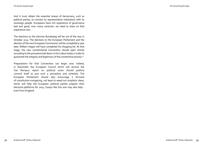And it must obtain the essential sinews of democracy, such as political parties, to connect its representative institutions with its sovereign people. Europeans have rich experience of governance bad and good, over many centuries: we need to draw on that experience now.

The elections to the German Bundestag will be out of the way in October 2013. The elections to the European Parliament and the election of the next European Commission will be completed a year later. William Hague will have completed his shopping list. At that stage, the new constitutional Convention should open strictly according to the procedure laid down in the Lisbon treaty in order to guarantee the integrity and legitimacy of the constitutive process.57

Preparations for that Convention can begin now. Indeed, in December the European Council which will receive the Van Rompuy report on political union should publicly commit itself to just such a procedure and schedule. The European Parliament should also encourage a ferment of constitution mongering, not least to weed out simplistic ideas, which will help the European political parties prepare their electoral platforms for 2014. Essays like this one may also help even from England.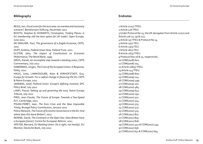# **Bibliography**

BEGG, Iain, *Fiscal union for the euro area: an overdue and necessary scenario?*, Bertelsmann Stiftung, November 2011 BOOTH, Stephen & HOWARTH, Christopher, *Trading Places: Is EU membership still the best option for UK trade?*, Open Europe, June 2012 DE GRAUWE, Paul, *The governance of a fragile Eurozone,* CEPS, 2011 DUFF, Andrew, *Federal Union Now,* Federal Trust, 2011 ELSTER, John, *The Impact of Constitutions on Economic Performance,* The World Bank, 1995 GROS, Daniel, *An incomplete step towards a banking union,* CEPS Commentary, July 2012 HABERMAS, Jürgen, *The Crisis of the European Union: A Response,* Polity, 2012 HAUG, Jutta, LAMASSOURE, Alain & VERHOFSTADT, Guy, *Europe for Growth: For a radical change in financing the EU,* CEPS & Notre Europe, 2011 JANNING, Josef, *Political Union: Europe's defining moment,* EPC Policy Brief, July 2012 LAMY, Pascal, *Setting up and governing the euro,* Notre Europe Tribune, July 2012 PIRIS, Jean-Claude, *The Future of Europe: Towards a Two-Speed EU?,* Cambridge, 2012 PISANI-FERRY, Jean, *The Euro Crisis and the New Impossible Trinity,* Bruegel Policy Contribution, January 2012 Policy Network, *The Future of Economic Governance in the EU: And where does this leave Britain?,* 2012 RENNIE, David, *The Continent or the Open Sea: Does Britain have a European future?,* Centre for European Reform, 2012 SPEYER, Bernard, *EU Banking Union: Do it right, not hastily!,* EU Monitor, Deutsche Bank, July 2012

# **Endnotes**

1 Article 121(1) TFEU. 2 Article 126 TFEU. 3 Under Protocol No 15, the UK derogates from Article 121(2) and Article 126 (1), (9) & (11). 4 Article 137 TFEU & Protocol No 14. 5 Article 15(1) TEU. 6 Article 15(5) TEU. 7 Article 16(1) TEU. 8 Article 26(3) TFEU. 9 Protocol Nos 16 & 15, respectively. 10 COM(2008) 602. 11 COM(2008) 704. 12 Article 108(3) TFEU. 13 Article 143 TFEU. 14 COM(2008) 800. 15 COM(2009) 114. 16 COM(2009) 499. 17 COM(2009) 207. 18 COM(2010) 484. 19 COM(2009) 647. 20 COM(2010) 250. 21 COM(2010) 522. 22 COM(2010) 524. 23 COM(2010) 523. 24 COM(2010) 527. 25 COM(2010) 525. 26 COM(2011) 821. 27 COM(2011) 819. 28 COM(2011) 818. 29 COM(2011) 452 & COM(2011) 453. 30 COM(2011) 656. 31 COM(2011) 651 & COM(2011) 654.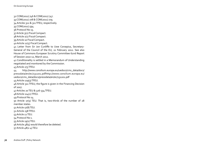32 COM(2011) 746 & COM(2011) 747. 33 COM(2011) 778 & COM(2011) 779. 34 Articles 312 & 311 TFEU, respectively. 35 COM(2011) 594. 36 Protocol No 15. 37 Article 3(2) Fiscal Compact. 38 Article 1(1) Fiscal Compact. 39 Article 10 Fiscal Compact. 40 Article 12(5) Fiscal Compact. 41 Letter from Sir Jon Cunliffe to Uwe Corsepius, Secretary-General of the Council of the EU, 22 February 2012. See also House of Commons European Scrutiny Committee 62nd Report of Session 2010-12, March 2012. 42 Conditionality is settled in a Memorandum of Understanding negotiated and monitored by the Commission. 43 Article 273 TFEU. 44 http://www.consilium.europa.eu/uedocs/cms\_data/docs/ pressdata/en/ec/131201.pdfhttp://www.consilium.europa.eu/ uedocs/cms\_data/docs/pressdata/en/ec/131201.pdf 45 Article 129(3) TFEU. 46 Article 311 TFEU; the figure is given in the Financing Decision of 2007. 47 Articles 20 TEU & 326-334 TFEU. 48 Article 114(2) TFEU. 49 Protocol No 14. 50 Article 17(5) TEU. That is, two-thirds of the number of 28 member states. 51 Article 17(8) TEU. 52 Article 238 TFEU. 53 Article 12 TEU. 54 Protocol No 1. 55 Article 19(1) TEU. 56 Article 48(5) would therefore be deleted. 57 Article 48(2-4) TEU.